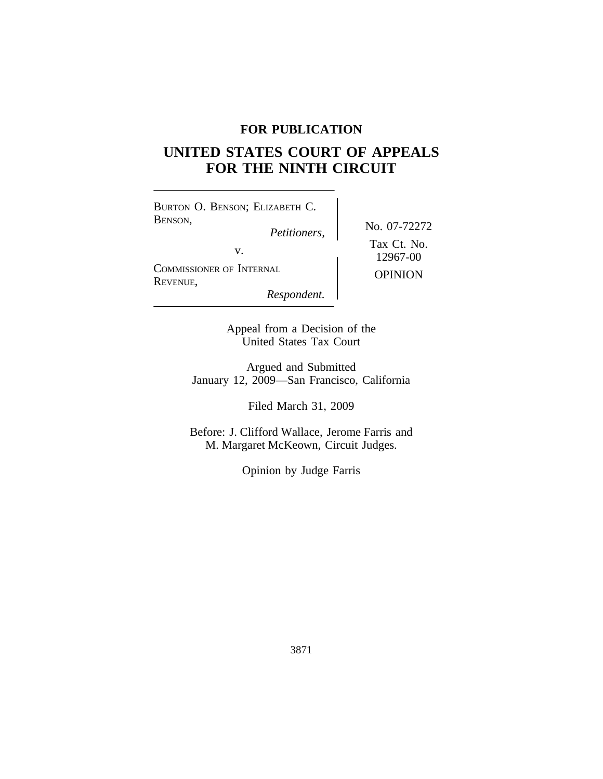## **FOR PUBLICATION**

# **UNITED STATES COURT OF APPEALS FOR THE NINTH CIRCUIT**

<sup>B</sup>URTON O. BENSON; ELIZABETH C. BENSON, No. 07-72272 *Petitioners,* v.  $12967-00$ <sup>C</sup>OMMISSIONER OF INTERNAL OPINION <sup>R</sup>EVENUE,

Tax Ct. No.

*Respondent.*

Appeal from a Decision of the United States Tax Court

Argued and Submitted January 12, 2009—San Francisco, California

Filed March 31, 2009

Before: J. Clifford Wallace, Jerome Farris and M. Margaret McKeown, Circuit Judges.

Opinion by Judge Farris

3871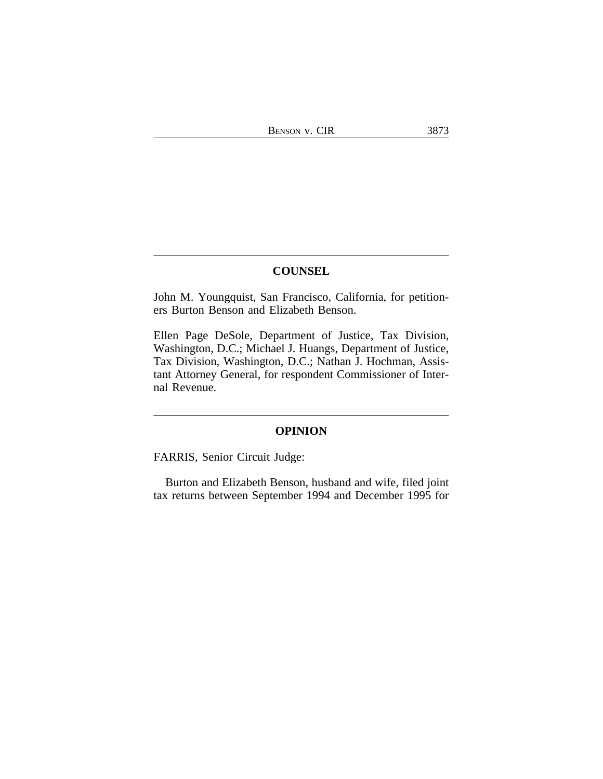## **COUNSEL**

John M. Youngquist, San Francisco, California, for petitioners Burton Benson and Elizabeth Benson.

Ellen Page DeSole, Department of Justice, Tax Division, Washington, D.C.; Michael J. Huangs, Department of Justice, Tax Division, Washington, D.C.; Nathan J. Hochman, Assistant Attorney General, for respondent Commissioner of Internal Revenue.

### **OPINION**

FARRIS, Senior Circuit Judge:

Burton and Elizabeth Benson, husband and wife, filed joint tax returns between September 1994 and December 1995 for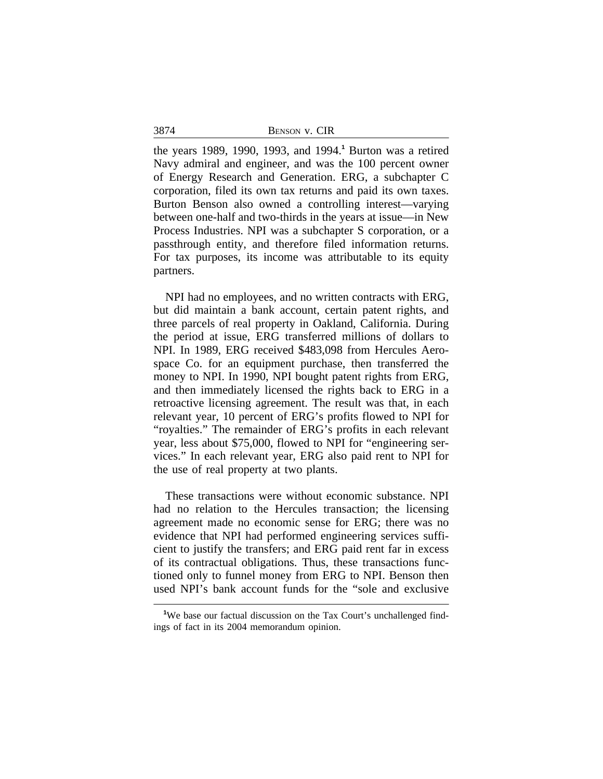3874 BENSON v. CIR

the years 1989, 1990, 1993, and 1994.**<sup>1</sup>** Burton was a retired Navy admiral and engineer, and was the 100 percent owner of Energy Research and Generation. ERG, a subchapter C corporation, filed its own tax returns and paid its own taxes. Burton Benson also owned a controlling interest—varying between one-half and two-thirds in the years at issue—in New Process Industries. NPI was a subchapter S corporation, or a passthrough entity, and therefore filed information returns. For tax purposes, its income was attributable to its equity partners.

NPI had no employees, and no written contracts with ERG, but did maintain a bank account, certain patent rights, and three parcels of real property in Oakland, California. During the period at issue, ERG transferred millions of dollars to NPI. In 1989, ERG received \$483,098 from Hercules Aerospace Co. for an equipment purchase, then transferred the money to NPI. In 1990, NPI bought patent rights from ERG, and then immediately licensed the rights back to ERG in a retroactive licensing agreement. The result was that, in each relevant year, 10 percent of ERG's profits flowed to NPI for "royalties." The remainder of ERG's profits in each relevant year, less about \$75,000, flowed to NPI for "engineering services." In each relevant year, ERG also paid rent to NPI for the use of real property at two plants.

These transactions were without economic substance. NPI had no relation to the Hercules transaction; the licensing agreement made no economic sense for ERG; there was no evidence that NPI had performed engineering services sufficient to justify the transfers; and ERG paid rent far in excess of its contractual obligations. Thus, these transactions functioned only to funnel money from ERG to NPI. Benson then used NPI's bank account funds for the "sole and exclusive

<sup>&</sup>lt;sup>1</sup>We base our factual discussion on the Tax Court's unchallenged findings of fact in its 2004 memorandum opinion.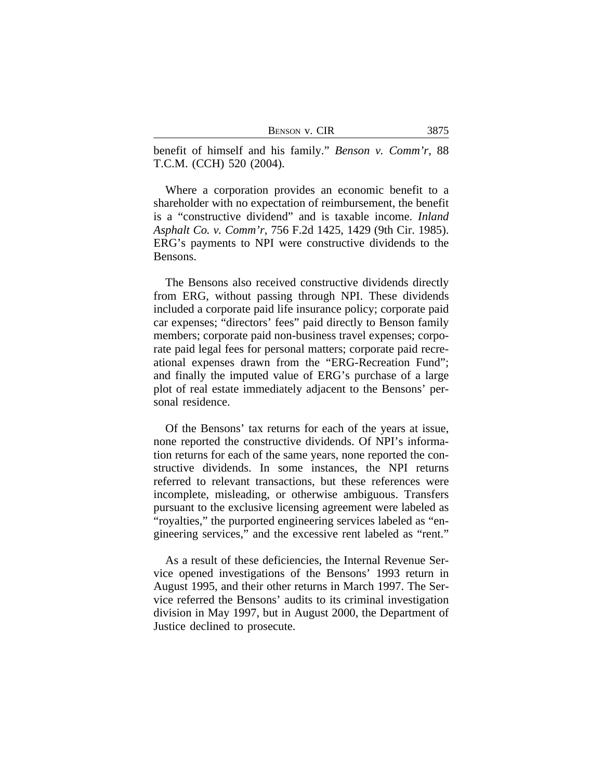| Benson v. CIR |  |  |
|---------------|--|--|
|---------------|--|--|

benefit of himself and his family." *Benson v. Comm'r*, 88 T.C.M. (CCH) 520 (2004).

Where a corporation provides an economic benefit to a shareholder with no expectation of reimbursement, the benefit is a "constructive dividend" and is taxable income. *Inland Asphalt Co. v. Comm'r*, 756 F.2d 1425, 1429 (9th Cir. 1985). ERG's payments to NPI were constructive dividends to the Bensons.

The Bensons also received constructive dividends directly from ERG, without passing through NPI. These dividends included a corporate paid life insurance policy; corporate paid car expenses; "directors' fees" paid directly to Benson family members; corporate paid non-business travel expenses; corporate paid legal fees for personal matters; corporate paid recreational expenses drawn from the "ERG-Recreation Fund"; and finally the imputed value of ERG's purchase of a large plot of real estate immediately adjacent to the Bensons' personal residence.

Of the Bensons' tax returns for each of the years at issue, none reported the constructive dividends. Of NPI's information returns for each of the same years, none reported the constructive dividends. In some instances, the NPI returns referred to relevant transactions, but these references were incomplete, misleading, or otherwise ambiguous. Transfers pursuant to the exclusive licensing agreement were labeled as "royalties," the purported engineering services labeled as "engineering services," and the excessive rent labeled as "rent."

As a result of these deficiencies, the Internal Revenue Service opened investigations of the Bensons' 1993 return in August 1995, and their other returns in March 1997. The Service referred the Bensons' audits to its criminal investigation division in May 1997, but in August 2000, the Department of Justice declined to prosecute.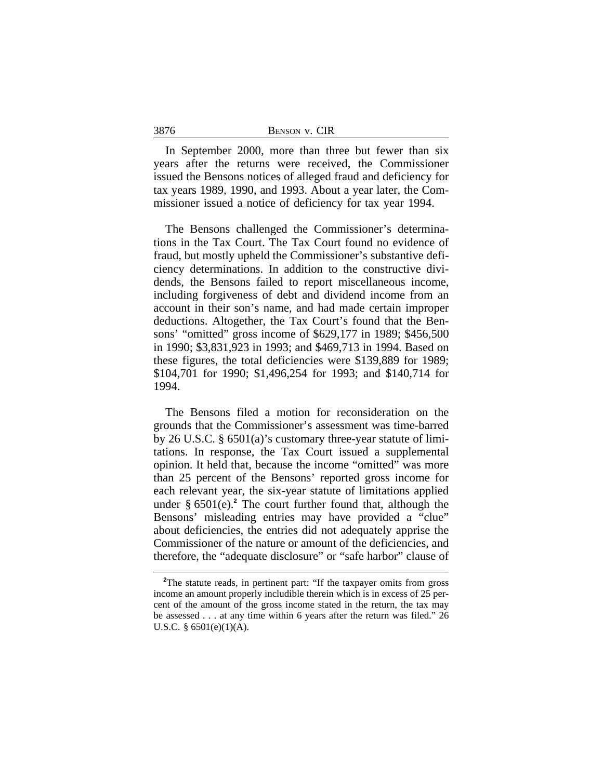|--|--|--|

3876

In September 2000, more than three but fewer than six years after the returns were received, the Commissioner issued the Bensons notices of alleged fraud and deficiency for tax years 1989, 1990, and 1993. About a year later, the Commissioner issued a notice of deficiency for tax year 1994.

The Bensons challenged the Commissioner's determinations in the Tax Court. The Tax Court found no evidence of fraud, but mostly upheld the Commissioner's substantive deficiency determinations. In addition to the constructive dividends, the Bensons failed to report miscellaneous income, including forgiveness of debt and dividend income from an account in their son's name, and had made certain improper deductions. Altogether, the Tax Court's found that the Bensons' "omitted" gross income of \$629,177 in 1989; \$456,500 in 1990; \$3,831,923 in 1993; and \$469,713 in 1994. Based on these figures, the total deficiencies were \$139,889 for 1989; \$104,701 for 1990; \$1,496,254 for 1993; and \$140,714 for 1994.

The Bensons filed a motion for reconsideration on the grounds that the Commissioner's assessment was time-barred by 26 U.S.C. § 6501(a)'s customary three-year statute of limitations. In response, the Tax Court issued a supplemental opinion. It held that, because the income "omitted" was more than 25 percent of the Bensons' reported gross income for each relevant year, the six-year statute of limitations applied under § 6501(e).**<sup>2</sup>** The court further found that, although the Bensons' misleading entries may have provided a "clue" about deficiencies, the entries did not adequately apprise the Commissioner of the nature or amount of the deficiencies, and therefore, the "adequate disclosure" or "safe harbor" clause of

<sup>&</sup>lt;sup>2</sup>The statute reads, in pertinent part: "If the taxpayer omits from gross income an amount properly includible therein which is in excess of 25 percent of the amount of the gross income stated in the return, the tax may be assessed . . . at any time within 6 years after the return was filed." 26 U.S.C. § 6501(e)(1)(A).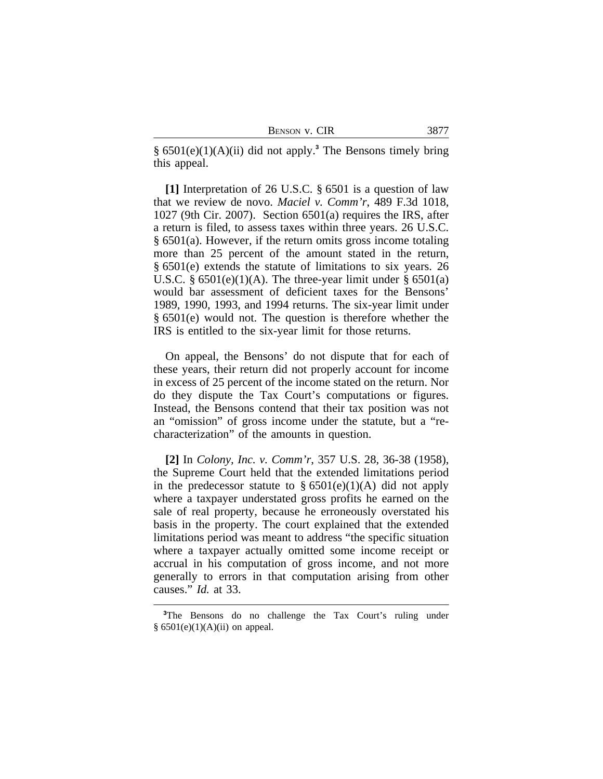| Benson v. CIR |  |  |
|---------------|--|--|
|---------------|--|--|

§ 6501(e)(1)(A)(ii) did not apply.**<sup>3</sup>** The Bensons timely bring this appeal.

**[1]** Interpretation of 26 U.S.C. § 6501 is a question of law that we review de novo. *Maciel v. Comm'r*, 489 F.3d 1018, 1027 (9th Cir. 2007). Section 6501(a) requires the IRS, after a return is filed, to assess taxes within three years. 26 U.S.C. § 6501(a). However, if the return omits gross income totaling more than 25 percent of the amount stated in the return, § 6501(e) extends the statute of limitations to six years. 26 U.S.C.  $\S 6501(e)(1)(A)$ . The three-year limit under  $\S 6501(a)$ would bar assessment of deficient taxes for the Bensons' 1989, 1990, 1993, and 1994 returns. The six-year limit under § 6501(e) would not. The question is therefore whether the IRS is entitled to the six-year limit for those returns.

On appeal, the Bensons' do not dispute that for each of these years, their return did not properly account for income in excess of 25 percent of the income stated on the return. Nor do they dispute the Tax Court's computations or figures. Instead, the Bensons contend that their tax position was not an "omission" of gross income under the statute, but a "recharacterization" of the amounts in question.

**[2]** In *Colony, Inc. v. Comm'r*, 357 U.S. 28, 36-38 (1958), the Supreme Court held that the extended limitations period in the predecessor statute to  $\S 6501(e)(1)(A)$  did not apply where a taxpayer understated gross profits he earned on the sale of real property, because he erroneously overstated his basis in the property. The court explained that the extended limitations period was meant to address "the specific situation where a taxpayer actually omitted some income receipt or accrual in his computation of gross income, and not more generally to errors in that computation arising from other causes." *Id.* at 33.

**<sup>3</sup>**The Bensons do no challenge the Tax Court's ruling under  $§ 6501(e)(1)(A)(ii)$  on appeal.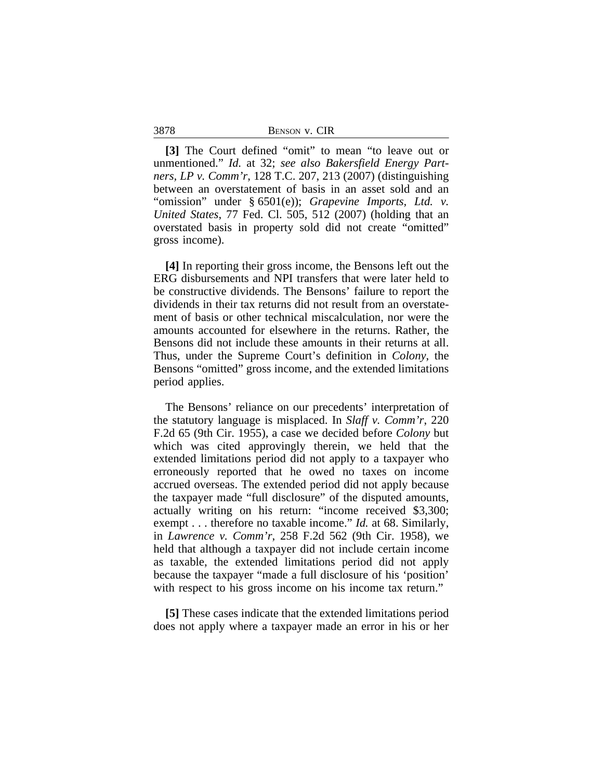3878 BENSON v. CIR

**[3]** The Court defined "omit" to mean "to leave out or unmentioned." *Id.* at 32; *see also Bakersfield Energy Partners, LP v. Comm'r*, 128 T.C. 207, 213 (2007) (distinguishing between an overstatement of basis in an asset sold and an "omission" under § 6501(e)); *Grapevine Imports, Ltd. v. United States*, 77 Fed. Cl. 505, 512 (2007) (holding that an overstated basis in property sold did not create "omitted" gross income).

**[4]** In reporting their gross income, the Bensons left out the ERG disbursements and NPI transfers that were later held to be constructive dividends. The Bensons' failure to report the dividends in their tax returns did not result from an overstatement of basis or other technical miscalculation, nor were the amounts accounted for elsewhere in the returns. Rather, the Bensons did not include these amounts in their returns at all. Thus, under the Supreme Court's definition in *Colony*, the Bensons "omitted" gross income, and the extended limitations period applies.

The Bensons' reliance on our precedents' interpretation of the statutory language is misplaced. In *Slaff v. Comm'r*, 220 F.2d 65 (9th Cir. 1955), a case we decided before *Colony* but which was cited approvingly therein, we held that the extended limitations period did not apply to a taxpayer who erroneously reported that he owed no taxes on income accrued overseas. The extended period did not apply because the taxpayer made "full disclosure" of the disputed amounts, actually writing on his return: "income received \$3,300; exempt . . . therefore no taxable income." *Id.* at 68. Similarly, in *Lawrence v. Comm'r*, 258 F.2d 562 (9th Cir. 1958), we held that although a taxpayer did not include certain income as taxable, the extended limitations period did not apply because the taxpayer "made a full disclosure of his 'position' with respect to his gross income on his income tax return."

**[5]** These cases indicate that the extended limitations period does not apply where a taxpayer made an error in his or her